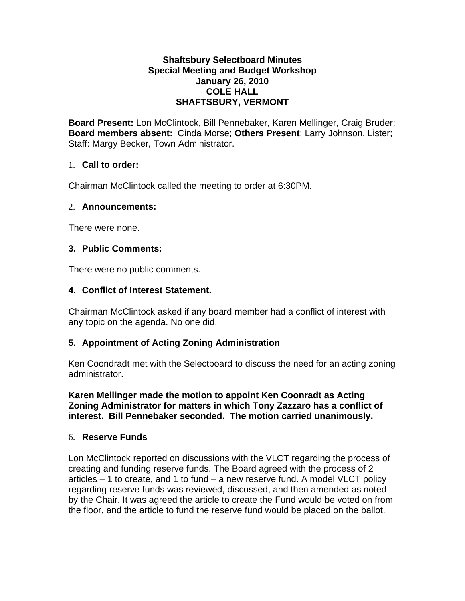## **Shaftsbury Selectboard Minutes Special Meeting and Budget Workshop January 26, 2010 COLE HALL SHAFTSBURY, VERMONT**

**Board Present:** Lon McClintock, Bill Pennebaker, Karen Mellinger, Craig Bruder; **Board members absent:** Cinda Morse; **Others Present**: Larry Johnson, Lister; Staff: Margy Becker, Town Administrator.

# 1. **Call to order:**

Chairman McClintock called the meeting to order at 6:30PM.

## 2. **Announcements:**

There were none.

#### **3. Public Comments:**

There were no public comments.

## **4. Conflict of Interest Statement.**

Chairman McClintock asked if any board member had a conflict of interest with any topic on the agenda. No one did.

## **5. Appointment of Acting Zoning Administration**

Ken Coondradt met with the Selectboard to discuss the need for an acting zoning administrator.

**Karen Mellinger made the motion to appoint Ken Coonradt as Acting Zoning Administrator for matters in which Tony Zazzaro has a conflict of interest. Bill Pennebaker seconded. The motion carried unanimously.**

## 6. **Reserve Funds**

Lon McClintock reported on discussions with the VLCT regarding the process of creating and funding reserve funds. The Board agreed with the process of 2 articles – 1 to create, and 1 to fund – a new reserve fund. A model VLCT policy regarding reserve funds was reviewed, discussed, and then amended as noted by the Chair. It was agreed the article to create the Fund would be voted on from the floor, and the article to fund the reserve fund would be placed on the ballot.